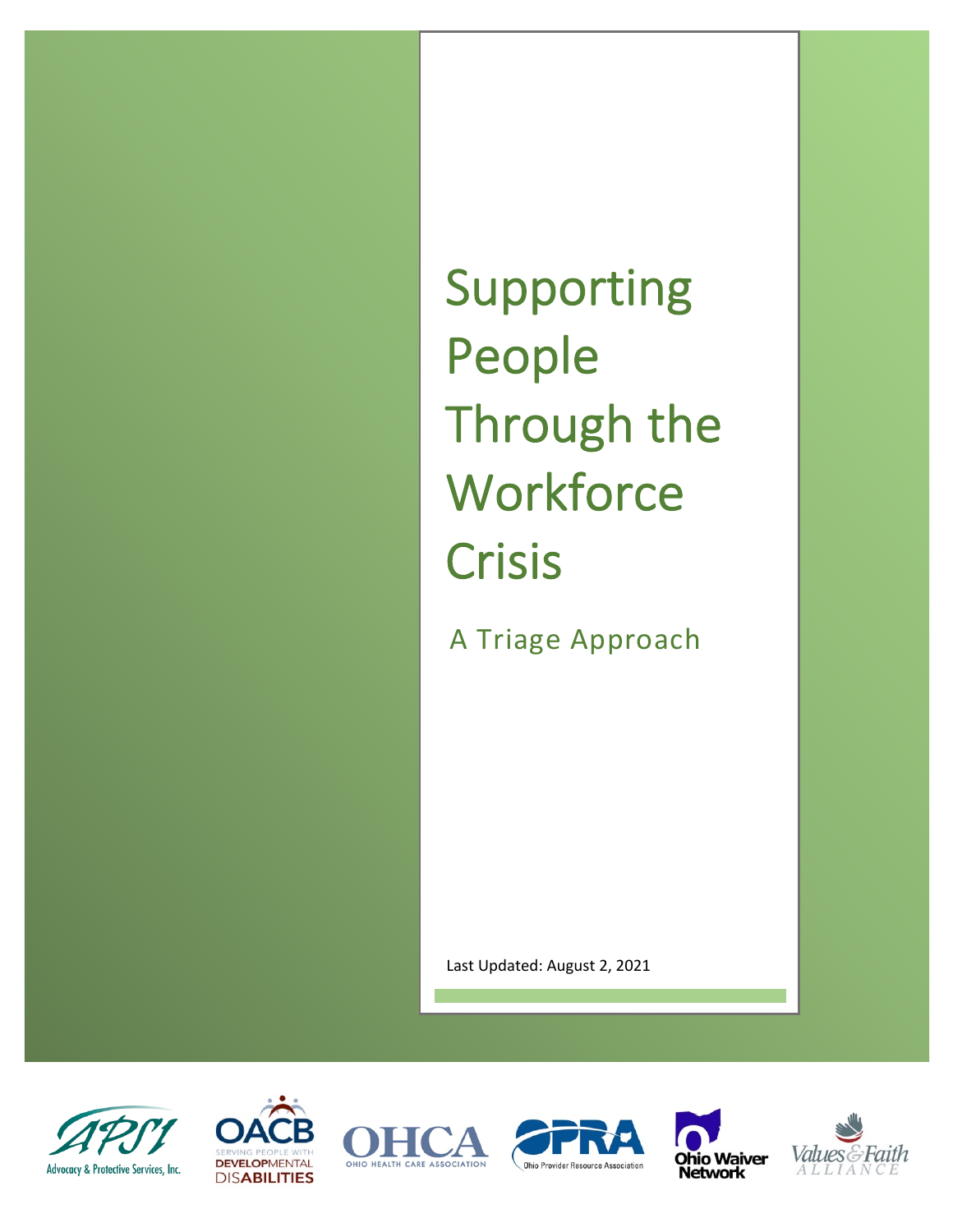Supporting People Through the **Workforce** Crisis

A Triage Approach

Last Updated: August 2, 2021











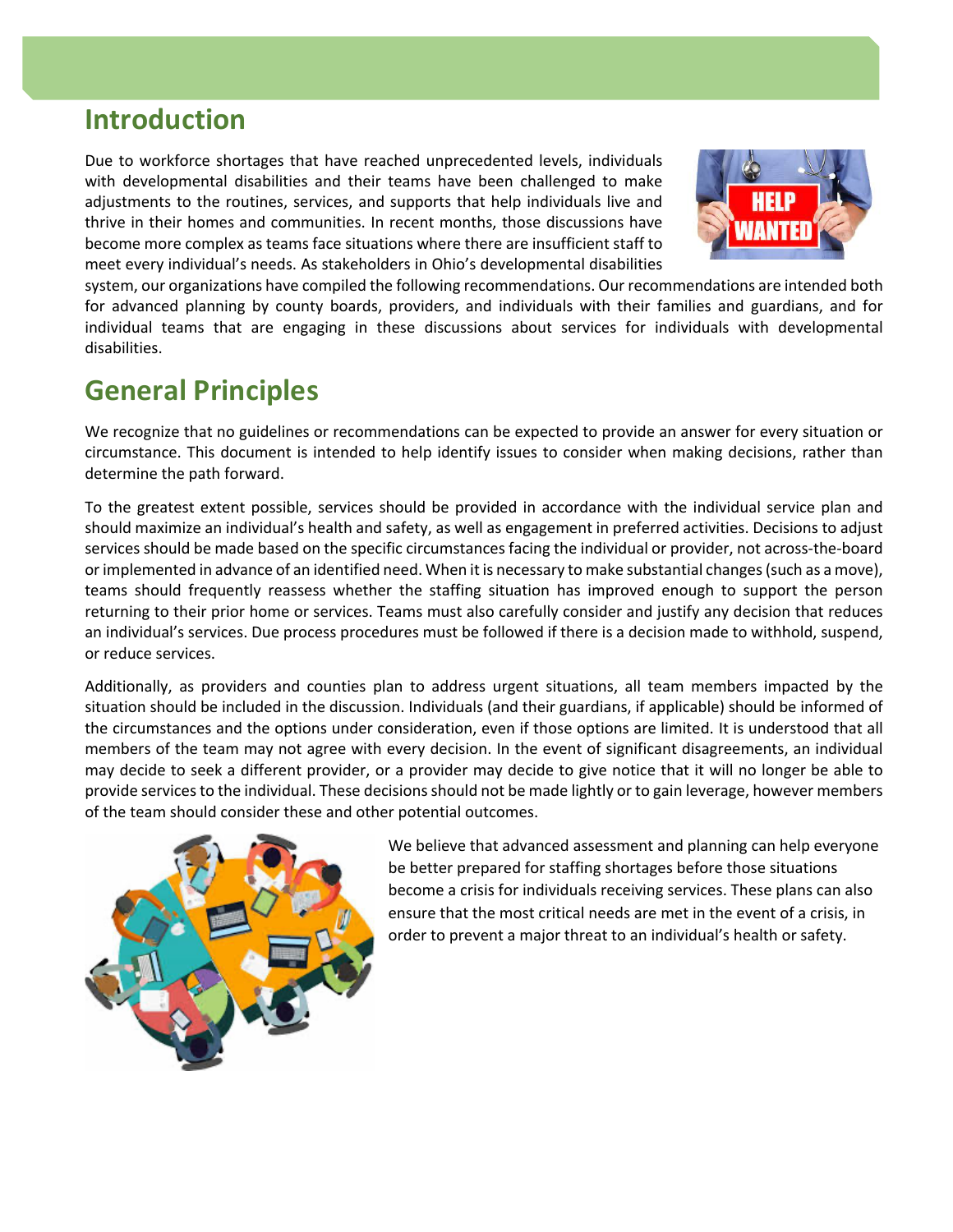## **Introduction**

Due to workforce shortages that have reached unprecedented levels, individuals with developmental disabilities and their teams have been challenged to make adjustments to the routines, services, and supports that help individuals live and thrive in their homes and communities. In recent months, those discussions have become more complex as teams face situations where there are insufficient staff to meet every individual's needs. As stakeholders in Ohio's developmental disabilities



system, our organizations have compiled the following recommendations. Our recommendations are intended both for advanced planning by county boards, providers, and individuals with their families and guardians, and for individual teams that are engaging in these discussions about services for individuals with developmental disabilities.

## **General Principles**

We recognize that no guidelines or recommendations can be expected to provide an answer for every situation or circumstance. This document is intended to help identify issues to consider when making decisions, rather than determine the path forward.

To the greatest extent possible, services should be provided in accordance with the individual service plan and should maximize an individual's health and safety, as well as engagement in preferred activities. Decisions to adjust services should be made based on the specific circumstances facing the individual or provider, not across-the-board or implemented in advance of an identified need. When it is necessary to make substantial changes(such as a move), teams should frequently reassess whether the staffing situation has improved enough to support the person returning to their prior home or services. Teams must also carefully consider and justify any decision that reduces an individual's services. Due process procedures must be followed if there is a decision made to withhold, suspend, or reduce services.

Additionally, as providers and counties plan to address urgent situations, all team members impacted by the situation should be included in the discussion. Individuals (and their guardians, if applicable) should be informed of the circumstances and the options under consideration, even if those options are limited. It is understood that all members of the team may not agree with every decision. In the event of significant disagreements, an individual may decide to seek a different provider, or a provider may decide to give notice that it will no longer be able to provide services to the individual. These decisions should not be made lightly or to gain leverage, however members of the team should consider these and other potential outcomes.



We believe that advanced assessment and planning can help everyone be better prepared for staffing shortages before those situations become a crisis for individuals receiving services. These plans can also ensure that the most critical needs are met in the event of a crisis, in order to prevent a major threat to an individual's health or safety.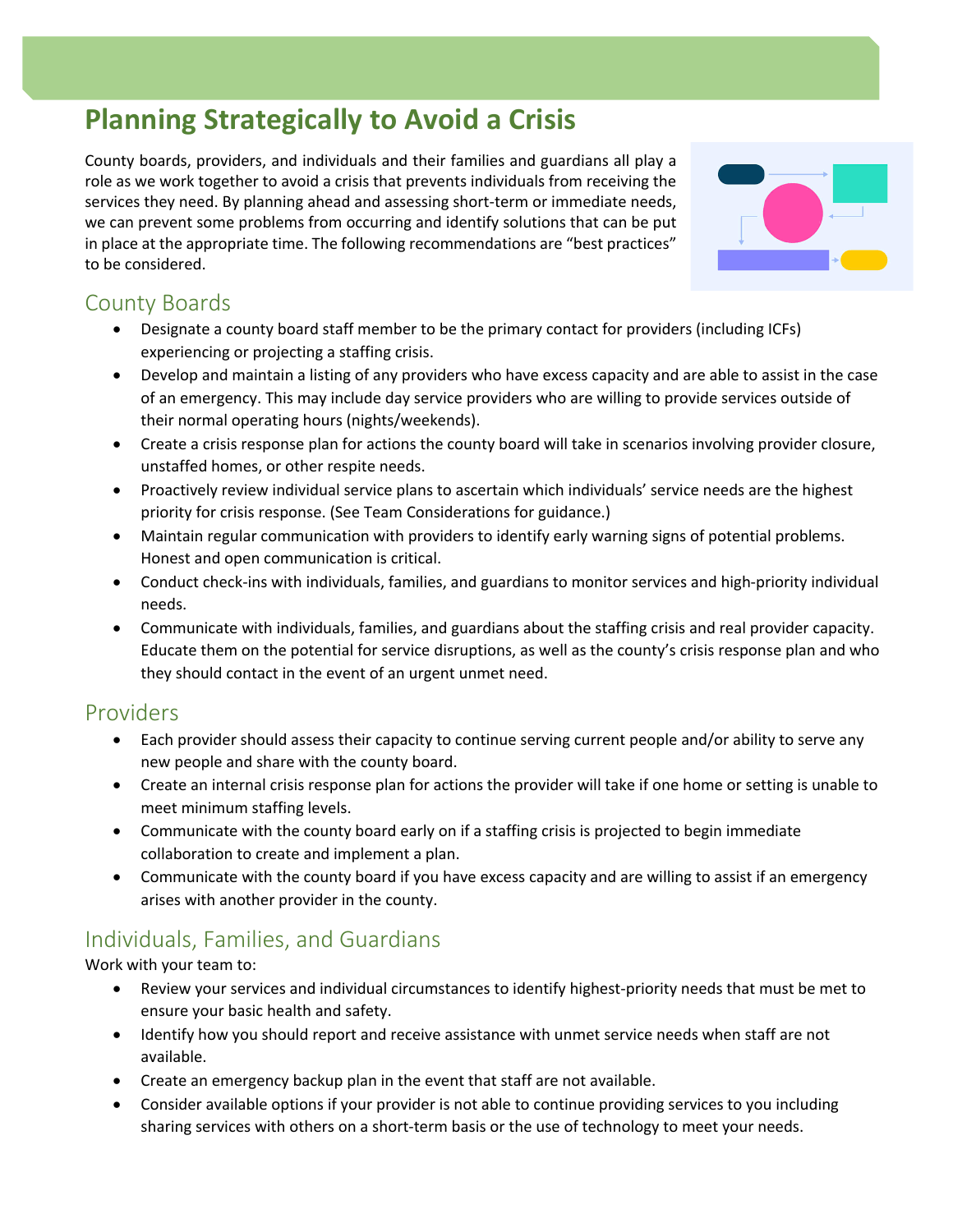# **Planning Strategically to Avoid a Crisis**

County boards, providers, and individuals and their families and guardians all play a role as we work together to avoid a crisis that prevents individuals from receiving the services they need. By planning ahead and assessing short-term or immediate needs, we can prevent some problems from occurring and identify solutions that can be put in place at the appropriate time. The following recommendations are "best practices" to be considered.



### County Boards

- Designate a county board staff member to be the primary contact for providers (including ICFs) experiencing or projecting a staffing crisis.
- Develop and maintain a listing of any providers who have excess capacity and are able to assist in the case of an emergency. This may include day service providers who are willing to provide services outside of their normal operating hours (nights/weekends).
- Create a crisis response plan for actions the county board will take in scenarios involving provider closure, unstaffed homes, or other respite needs.
- Proactively review individual service plans to ascertain which individuals' service needs are the highest priority for crisis response. (See Team Considerations for guidance.)
- Maintain regular communication with providers to identify early warning signs of potential problems. Honest and open communication is critical.
- Conduct check-ins with individuals, families, and guardians to monitor services and high-priority individual needs.
- Communicate with individuals, families, and guardians about the staffing crisis and real provider capacity. Educate them on the potential for service disruptions, as well as the county's crisis response plan and who they should contact in the event of an urgent unmet need.

#### Providers

- Each provider should assess their capacity to continue serving current people and/or ability to serve any new people and share with the county board.
- Create an internal crisis response plan for actions the provider will take if one home or setting is unable to meet minimum staffing levels.
- Communicate with the county board early on if a staffing crisis is projected to begin immediate collaboration to create and implement a plan.
- Communicate with the county board if you have excess capacity and are willing to assist if an emergency arises with another provider in the county.

### Individuals, Families, and Guardians

Work with your team to:

- Review your services and individual circumstances to identify highest-priority needs that must be met to ensure your basic health and safety.
- Identify how you should report and receive assistance with unmet service needs when staff are not available.
- Create an emergency backup plan in the event that staff are not available.
- Consider available options if your provider is not able to continue providing services to you including sharing services with others on a short-term basis or the use of technology to meet your needs.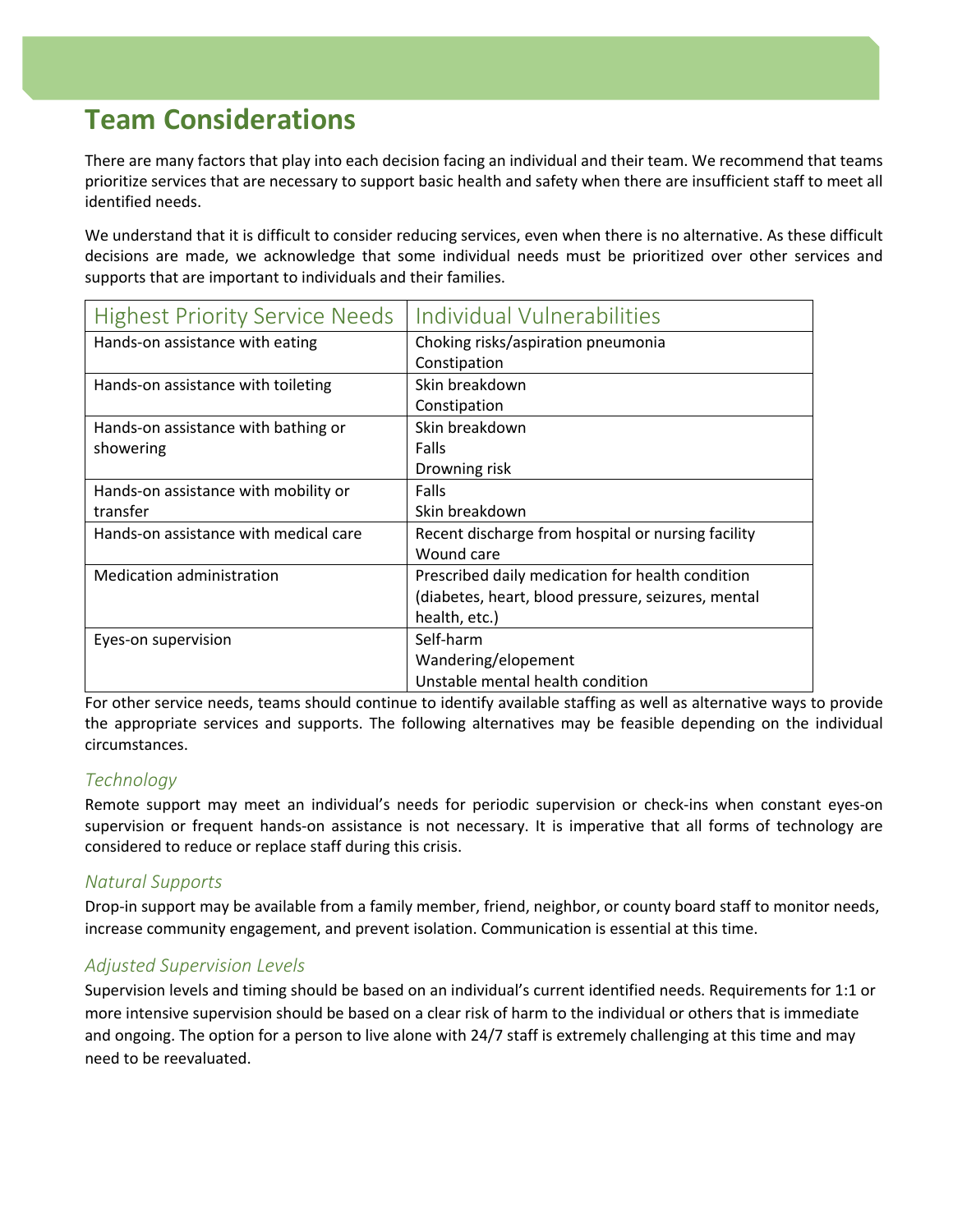## **Team Considerations**

There are many factors that play into each decision facing an individual and their team. We recommend that teams prioritize services that are necessary to support basic health and safety when there are insufficient staff to meet all identified needs.

We understand that it is difficult to consider reducing services, even when there is no alternative. As these difficult decisions are made, we acknowledge that some individual needs must be prioritized over other services and supports that are important to individuals and their families.

| <b>Highest Priority Service Needs</b> | Individual Vulnerabilities                         |
|---------------------------------------|----------------------------------------------------|
| Hands-on assistance with eating       | Choking risks/aspiration pneumonia                 |
|                                       | Constipation                                       |
| Hands-on assistance with toileting    | Skin breakdown                                     |
|                                       | Constipation                                       |
| Hands-on assistance with bathing or   | Skin breakdown                                     |
| showering                             | Falls                                              |
|                                       | Drowning risk                                      |
| Hands-on assistance with mobility or  | Falls                                              |
| transfer                              | Skin breakdown                                     |
| Hands-on assistance with medical care | Recent discharge from hospital or nursing facility |
|                                       | Wound care                                         |
| <b>Medication administration</b>      | Prescribed daily medication for health condition   |
|                                       | (diabetes, heart, blood pressure, seizures, mental |
|                                       | health, etc.)                                      |
| Eyes-on supervision                   | Self-harm                                          |
|                                       | Wandering/elopement                                |
|                                       | Unstable mental health condition                   |

For other service needs, teams should continue to identify available staffing as well as alternative ways to provide the appropriate services and supports. The following alternatives may be feasible depending on the individual circumstances.

#### *Technology*

Remote support may meet an individual's needs for periodic supervision or check-ins when constant eyes-on supervision or frequent hands-on assistance is not necessary. It is imperative that all forms of technology are considered to reduce or replace staff during this crisis.

#### *Natural Supports*

Drop-in support may be available from a family member, friend, neighbor, or county board staff to monitor needs, increase community engagement, and prevent isolation. Communication is essential at this time.

#### *Adjusted Supervision Levels*

Supervision levels and timing should be based on an individual's current identified needs. Requirements for 1:1 or more intensive supervision should be based on a clear risk of harm to the individual or others that is immediate and ongoing. The option for a person to live alone with 24/7 staff is extremely challenging at this time and may need to be reevaluated.